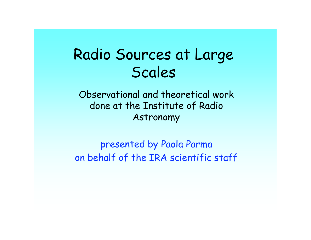# Radio Sources at Large Scales

Observational and theoretical work done at the Institute of Radio Astronomy

presented by Paola Parma on behalf of the IRA scientific staff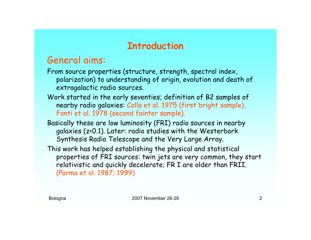## **Introduction**

## General aims:

From source properties (structure, strength, spectral index, polarization) to understanding of origin, evolution and death of extragalactic radio sources.

- Work started in the early seventies; definition of B2 samples of nearby radio galaxies: Colla et al. 1975 (first bright sample), Fanti et al. 1978 (second fainter sample).
- Basically these are low luminosity (FRI) radio sources in nearby galaxies (z<0.1). Later: radio studies with the Westerbork Synthesis Radio Telescope and the Very Large Array.
- This work has helped establishing the physical and statistical properties of FRI sources: twin jets are very common, they start relativistic and quickly decelerate; FR I are older than FRII. (Parma et al. 1987; 1999)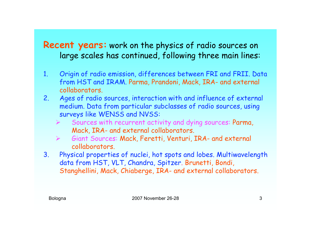### **Recent years:** work on the physics of radio sources on large scales has continued, following three main lines:

- 1. Origin of radio emission, differences between FRI and FRII. Data from HST and IRAM. Parma, Prandoni, Mack, IRA- and external collaborators.
- 2. Ages of radio sources, interaction with and influence of external medium. Data from particular subclasses of radio sources, using surveys like WENSS and NVSS:
	- Sources with recurrent activity and dying sources: Parma, Mack, IRA- and external collaborators.
	- Giant Sources: Mack, Feretti, Venturi, IRA- and external collaborators.
- 3. Physical properties of nuclei, hot spots and lobes. Multiwavelength data from HST, VLT, Chandra, Spitzer. Brunetti, Bondi, Stanghellini, Mack, Chiaberge, IRA- and external collaborators.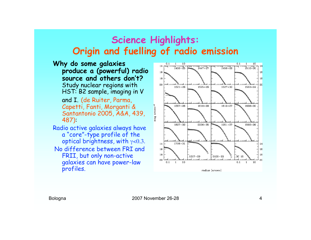### **Science Highlights: Origin and fuelling of radio emission**

- **Why do some galaxies produce a (powerful) radio source and others don't?** Study nuclear regions with HST: B2 sample, imaging in V and I. (de Ruiter, Parma, Capetti, Fanti, Morganti & Santantonio 2005, A&A, 439, 487): Radio active galaxies always have a "core"-type profile of the optical brightness, with  $\gamma$ <0.3. No difference between FRI and FRII, but only non-active
	- galaxies can have power-law profiles.

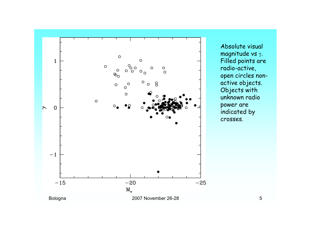

Absolute visual magnitude vs γ. Filled points are radio-active, open circles nonactive objects. Objects with unknown radio power are indicated by crosses.

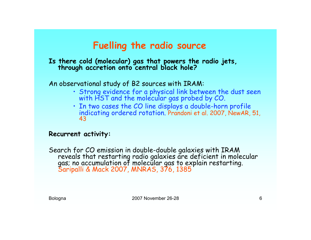## **Fuelling the radio source**

# **Is there cold (molecular) gas that powers the radio jets, through accretion onto central black hole?**

#### An observational study of B2 sources with IRAM:

- Strong evidence for a physical link between the dust seen with HST and the molecular gas probed by CO.
- In two cases the CO line displays a double-horn profile indicating ordered rotation. Prandoni et al. 2007, NewAR, 51, 43

#### **Recurrent activity:**

Search for CO emission in double-double galaxies with IRAM reveals that restarting radio galaxies are deficient in molecular gas; no accumulation of molecular gas to explain restarting.<br><mark>Saripalli & Mack 2007, MNRAS, 376, 1385</mark>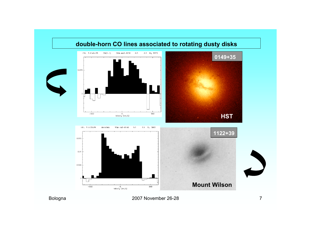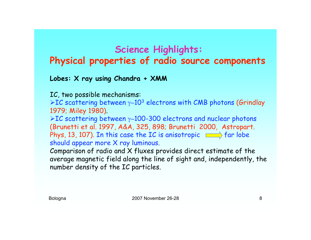# **Science Highlights: Physical properties of radio source components**

#### **Lobes: X ray using Chandra + XMM**

IC, two possible mechanisms:

IC scattering between γ∼103 electrons with CMB photons (Grindlay 1979; Miley 1980).

IC scattering between γ∼100-300 electrons and nuclear photons (Brunetti et al. 1997, A&A, 325, 898; Brunetti 2000, Astropart. Phys, 13, 107). In this case the IC is anisotropic  $\Box$  far lobe should appear more X ray luminous.

Comparison of radio and X fluxes provides direct estimate of the average magnetic field along the line of sight and, independently, the number density of the IC particles.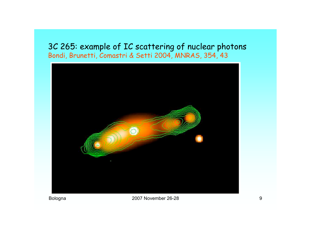### 3C 265: example of IC scattering of nuclear photons Bondi, Brunetti, Comastri & Setti 2004, MNRAS, 354, 43

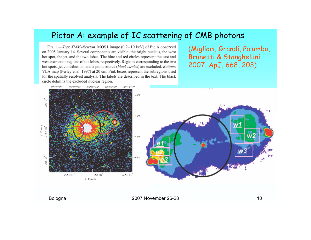### Pictor A: example of IC scattering of CMB photons

Fig. 1.—Top: XMM-Newton MOS1 image (0.2-10 keV) of Pic A observed on 2005 January 14. Several components are visible: the bright nucleus, the west hot spot, the jet, and the two lobes. The blue and red circles represent the east and west extraction regions of the lobes, respectively. Regions corresponding to the two hot spots, jet contribution, and a point source (black circles) are excluded. Bottom: VLA map (Perley et al. 1997) at 20 cm. Pink boxes represent the subregions used for the spatially resolved analysis. The labels are described in the text. The black circle delimits the excluded nuclear region.

(Migliori, Grandi, Palumbo, Brunetti & Stanghellini 2007, ApJ, 668, 203)

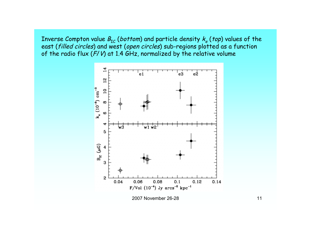Inverse Compton value  $B_{\text{IC}}$  (bottom) and particle density  $k_e$  (top) values of the east (filled circles) and west (open circles) sub-regions plotted as a function of the radio flux ( $F/V$ ) at 1.4 GHz, normalized by the relative volume

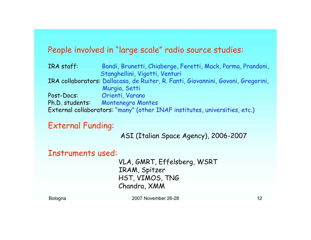### People involved in "large scale" radio source studies:

IRA staff: Bondi, Brunetti, Chiaberge, Feretti, Mack, Parma, Prandoni, Stanghellini, Vigotti, Venturi IRA collaborators: Dallacasa, de Ruiter, R. Fanti, Giovannini, Govoni, Gregorini, Murgia, Setti Post-Docs: Orienti, Varano Ph.D. students: Montenegro Montes External collaborators: "many" (other INAF institutes, universities, etc.)

External Funding:

ASI (Italian Space Agency), 2006-2007

Instruments used:

VLA, GMRT, Effelsberg, WSRT IRAM, Spitzer HST, VIMOS, TNG Chandra, XMM